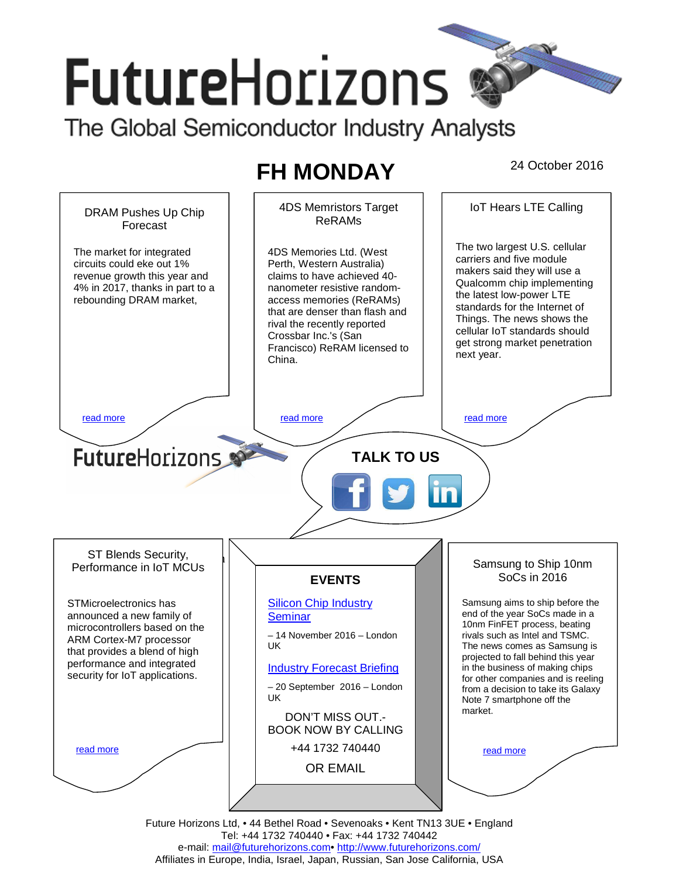# **FutureHorizons** The Global Semiconductor Industry Analysts

## FH MONDAY 24 October 2016



Future Horizons Ltd, • 44 Bethel Road • Sevenoaks • Kent TN13 3UE • England Tel: +44 1732 740440 • Fax: +44 1732 740442 e-mail: mail@futurehorizons.com• http://www.futurehorizons.com/ Affiliates in Europe, India, Israel, Japan, Russian, San Jose California, USA